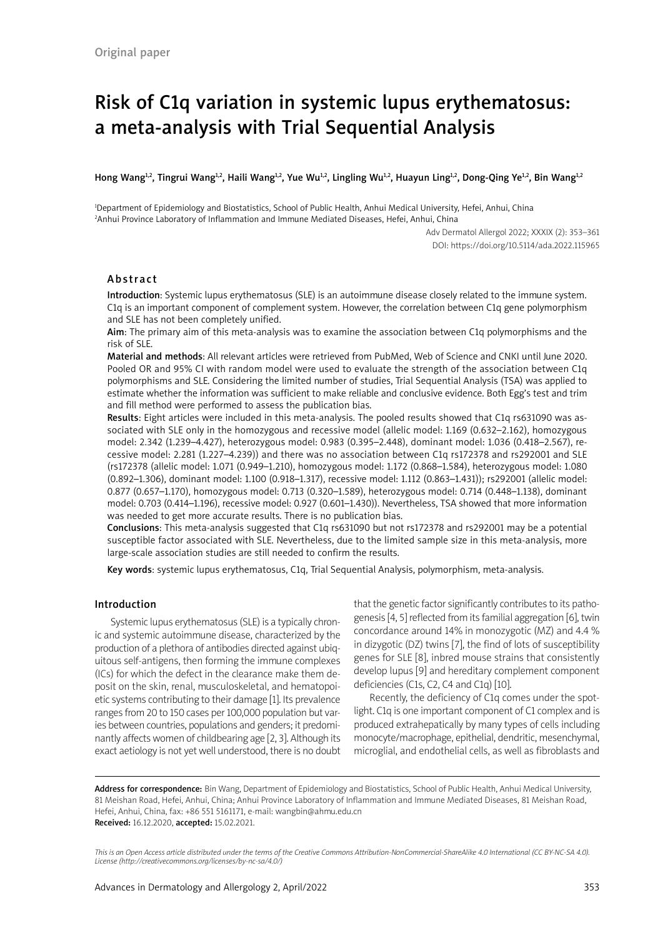# Risk of C1q variation in systemic lupus erythematosus: a meta-analysis with Trial Sequential Analysis

#### Hong Wang<sup>1,2</sup>, Tingrui Wang<sup>1,2</sup>, Haili Wang<sup>1,2</sup>, Yue Wu<sup>1,2</sup>, Lingling Wu<sup>1,2</sup>, Huayun Ling<sup>1,2</sup>, Dong-Qing Ye<sup>1,2</sup>, Bin Wang<sup>1,2</sup>

1 Department of Epidemiology and Biostatistics, School of Public Health, Anhui Medical University, Hefei, Anhui, China 2 Anhui Province Laboratory of Inflammation and Immune Mediated Diseases, Hefei, Anhui, China

> Adv Dermatol Allergol 2022; XXXIX (2): 353–361 DOI: https://doi.org/10.5114/ada.2022.115965

# Abstract

Introduction: Systemic lupus erythematosus (SLE) is an autoimmune disease closely related to the immune system. C1q is an important component of complement system. However, the correlation between C1q gene polymorphism and SLE has not been completely unified.

Aim: The primary aim of this meta-analysis was to examine the association between C1q polymorphisms and the risk of SLE.

Material and methods: All relevant articles were retrieved from PubMed, Web of Science and CNKI until June 2020. Pooled OR and 95% CI with random model were used to evaluate the strength of the association between C1q polymorphisms and SLE. Considering the limited number of studies, Trial Sequential Analysis (TSA) was applied to estimate whether the information was sufficient to make reliable and conclusive evidence. Both Egg's test and trim and fill method were performed to assess the publication bias.

Results: Eight articles were included in this meta-analysis. The pooled results showed that C1q rs631090 was associated with SLE only in the homozygous and recessive model (allelic model: 1.169 (0.632–2.162), homozygous model: 2.342 (1.239–4.427), heterozygous model: 0.983 (0.395–2.448), dominant model: 1.036 (0.418–2.567), recessive model: 2.281 (1.227–4.239)) and there was no association between C1q rs172378 and rs292001 and SLE (rs172378 (allelic model: 1.071 (0.949–1.210), homozygous model: 1.172 (0.868–1.584), heterozygous model: 1.080 (0.892–1.306), dominant model: 1.100 (0.918–1.317), recessive model: 1.112 (0.863–1.431)); rs292001 (allelic model: 0.877 (0.657–1.170), homozygous model: 0.713 (0.320–1.589), heterozygous model: 0.714 (0.448–1.138), dominant model: 0.703 (0.414–1.196), recessive model: 0.927 (0.601–1.430)). Nevertheless, TSA showed that more information was needed to get more accurate results. There is no publication bias.

Conclusions: This meta-analysis suggested that C1q rs631090 but not rs172378 and rs292001 may be a potential susceptible factor associated with SLE. Nevertheless, due to the limited sample size in this meta-analysis, more large-scale association studies are still needed to confirm the results.

Key words: systemic lupus erythematosus, C1q, Trial Sequential Analysis, polymorphism, meta-analysis.

# Introduction

Systemic lupus erythematosus (SLE) is a typically chronic and systemic autoimmune disease, characterized by the production of a plethora of antibodies directed against ubiquitous self-antigens, then forming the immune complexes (ICs) for which the defect in the clearance make them deposit on the skin, renal, musculoskeletal, and hematopoietic systems contributing to their damage [1]. Its prevalence ranges from 20 to 150 cases per 100,000 population but varies between countries, populations and genders; it predominantly affects women of childbearing age [2, 3]. Although its exact aetiology is not yet well understood, there is no doubt that the genetic factor significantly contributes to its pathogenesis [4, 5] reflected from its familial aggregation [6], twin concordance around 14% in monozygotic (MZ) and 4.4 % in dizygotic (DZ) twins [7], the find of lots of susceptibility genes for SLE [8], inbred mouse strains that consistently develop lupus [9] and hereditary complement component deficiencies (C1s, C2, C4 and C1q) [10].

Recently, the deficiency of C1q comes under the spotlight. C1q is one important component of C1 complex and is produced extrahepatically by many types of cells including monocyte/macrophage, epithelial, dendritic, mesenchymal, microglial, and endothelial cells, as well as fibroblasts and

Address for correspondence: Bin Wang, Department of Epidemiology and Biostatistics, School of Public Health, Anhui Medical University, 81 Meishan Road, Hefei, Anhui, China; Anhui Province Laboratory of Inflammation and Immune Mediated Diseases, 81 Meishan Road, Hefei, Anhui, China, fax: +86 551 5161171, e-mail: wangbin@ahmu.edu.cn Received: 16.12.2020, accepted: 15.02.2021.

*This is an Open Access article distributed under the terms of the Creative Commons Attribution-NonCommercial-ShareAlike 4.0 International (CC BY-NC-SA 4.0). License (http://creativecommons.org/licenses/by-nc-sa/4.0/)*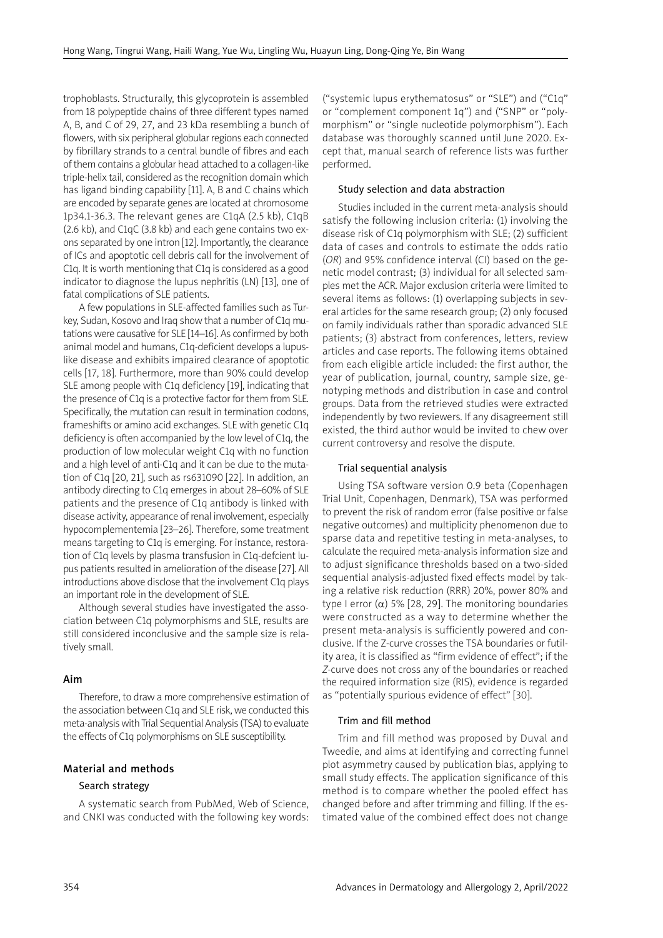trophoblasts. Structurally, this glycoprotein is assembled from 18 polypeptide chains of three different types named A, B, and C of 29, 27, and 23 kDa resembling a bunch of flowers, with six peripheral globular regions each connected by fibrillary strands to a central bundle of fibres and each of them contains a globular head attached to a collagen-like triple-helix tail, considered as the recognition domain which has ligand binding capability [11]. A, B and C chains which are encoded by separate genes are located at chromosome 1p34.1-36.3. The relevant genes are C1qA (2.5 kb), C1qB (2.6 kb), and C1qC (3.8 kb) and each gene contains two exons separated by one intron [12]. Importantly, the clearance of ICs and apoptotic cell debris call for the involvement of C1q. It is worth mentioning that C1q is considered as a good indicator to diagnose the lupus nephritis (LN) [13], one of fatal complications of SLE patients.

A few populations in SLE-affected families such as Turkey, Sudan, Kosovo and Iraq show that a number of C1q mutations were causative for SLE [14–16]. As confirmed by both animal model and humans, C1q-deficient develops a lupuslike disease and exhibits impaired clearance of apoptotic cells [17, 18]. Furthermore, more than 90% could develop SLE among people with C1q deficiency [19], indicating that the presence of C1q is a protective factor for them from SLE. Specifically, the mutation can result in termination codons, frameshifts or amino acid exchanges. SLE with genetic C1q deficiency is often accompanied by the low level of C1q, the production of low molecular weight C1q with no function and a high level of anti-C1q and it can be due to the mutation of C1q [20, 21], such as rs631090 [22]. In addition, an antibody directing to C1q emerges in about 28–60% of SLE patients and the presence of C1q antibody is linked with disease activity, appearance of renal involvement, especially hypocomplementemia [23–26]. Therefore, some treatment means targeting to C1q is emerging. For instance, restoration of C1q levels by plasma transfusion in C1q-defcient lupus patients resulted in amelioration of the disease [27]. All introductions above disclose that the involvement C1q plays an important role in the development of SLE.

Although several studies have investigated the association between C1q polymorphisms and SLE, results are still considered inconclusive and the sample size is relatively small.

## Aim

Therefore, to draw a more comprehensive estimation of the association between C1q and SLE risk, we conducted this meta-analysis with Trial Sequential Analysis (TSA) to evaluate the effects of C1q polymorphisms on SLE susceptibility.

## Material and methods

# Search strategy

A systematic search from PubMed, Web of Science, and CNKI was conducted with the following key words: ("systemic lupus erythematosus" or "SLE") and ("C1q" or "complement component 1q") and ("SNP" or "polymorphism" or "single nucleotide polymorphism"). Each database was thoroughly scanned until June 2020. Except that, manual search of reference lists was further performed.

### Study selection and data abstraction

Studies included in the current meta-analysis should satisfy the following inclusion criteria: (1) involving the disease risk of C1q polymorphism with SLE; (2) sufficient data of cases and controls to estimate the odds ratio (*OR*) and 95% confidence interval (CI) based on the genetic model contrast; (3) individual for all selected samples met the ACR. Major exclusion criteria were limited to several items as follows: (1) overlapping subjects in several articles for the same research group; (2) only focused on family individuals rather than sporadic advanced SLE patients; (3) abstract from conferences, letters, review articles and case reports. The following items obtained from each eligible article included: the first author, the year of publication, journal, country, sample size, genotyping methods and distribution in case and control groups. Data from the retrieved studies were extracted independently by two reviewers. If any disagreement still existed, the third author would be invited to chew over current controversy and resolve the dispute.

## Trial sequential analysis

Using TSA software version 0.9 beta (Copenhagen Trial Unit, Copenhagen, Denmark), TSA was performed to prevent the risk of random error (false positive or false negative outcomes) and multiplicity phenomenon due to sparse data and repetitive testing in meta-analyses, to calculate the required meta-analysis information size and to adjust significance thresholds based on a two-sided sequential analysis-adjusted fixed effects model by taking a relative risk reduction (RRR) 20%, power 80% and type I error  $(\alpha)$  5% [28, 29]. The monitoring boundaries were constructed as a way to determine whether the present meta-analysis is sufficiently powered and conclusive. If the Z-curve crosses the TSA boundaries or futility area, it is classified as "firm evidence of effect"; if the *Z*-curve does not cross any of the boundaries or reached the required information size (RIS), evidence is regarded as "potentially spurious evidence of effect" [30].

#### Trim and fill method

Trim and fill method was proposed by Duval and Tweedie, and aims at identifying and correcting funnel plot asymmetry caused by publication bias, applying to small study effects. The application significance of this method is to compare whether the pooled effect has changed before and after trimming and filling. If the estimated value of the combined effect does not change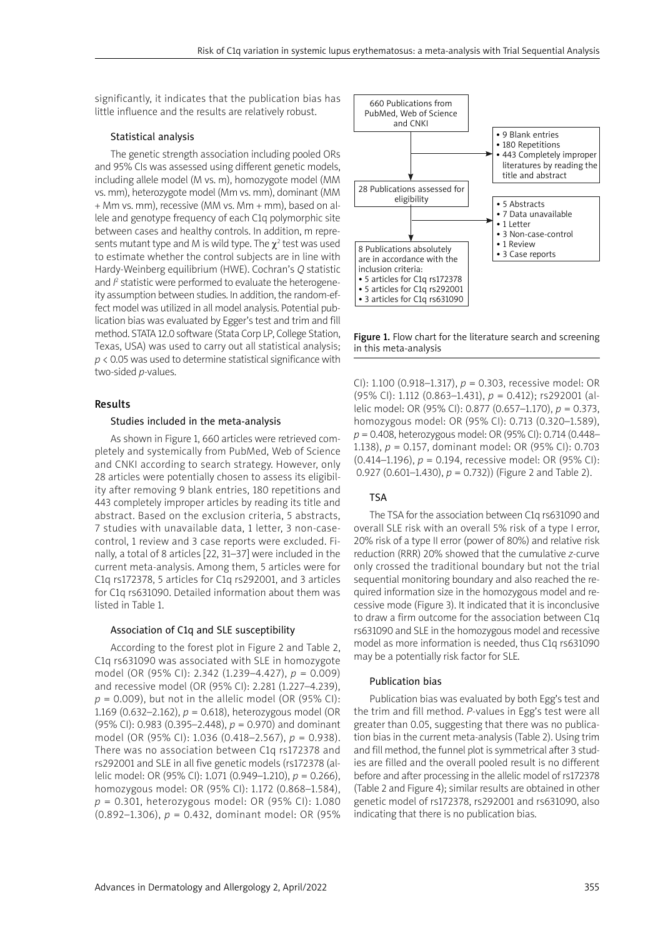significantly, it indicates that the publication bias has little influence and the results are relatively robust.

#### Statistical analysis

The genetic strength association including pooled ORs and 95% CIs was assessed using different genetic models, including allele model (M vs. m), homozygote model (MM vs. mm), heterozygote model (Mm vs. mm), dominant (MM + Mm vs. mm), recessive (MM vs. Mm + mm), based on allele and genotype frequency of each C1q polymorphic site between cases and healthy controls. In addition, m represents mutant type and M is wild type. The  $\chi^2$  test was used to estimate whether the control subjects are in line with Hardy-Weinberg equilibrium (HWE). Cochran's *Q* statistic and  $\beta$  statistic were performed to evaluate the heterogeneity assumption between studies. In addition, the random-effect model was utilized in all model analysis. Potential publication bias was evaluated by Egger's test and trim and fill method. STATA 12.0 software (Stata Corp LP, College Station, Texas, USA) was used to carry out all statistical analysis; *p* < 0.05 was used to determine statistical significance with two-sided *p*-values.

#### Results

#### Studies included in the meta-analysis

As shown in Figure 1, 660 articles were retrieved completely and systemically from PubMed, Web of Science and CNKI according to search strategy. However, only 28 articles were potentially chosen to assess its eligibility after removing 9 blank entries, 180 repetitions and 443 completely improper articles by reading its title and abstract. Based on the exclusion criteria, 5 abstracts, 7 studies with unavailable data, 1 letter, 3 non-casecontrol, 1 review and 3 case reports were excluded. Finally, a total of 8 articles [22, 31–37] were included in the current meta-analysis. Among them, 5 articles were for C1q rs172378, 5 articles for C1q rs292001, and 3 articles for C1q rs631090. Detailed information about them was listed in Table 1.

#### Association of C1q and SLE susceptibility

According to the forest plot in Figure 2 and Table 2, C1q rs631090 was associated with SLE in homozygote model (OR (95% CI): 2.342 (1.239–4.427), *p* = 0.009) and recessive model (OR (95% CI): 2.281 (1.227–4.239), *p* = 0.009), but not in the allelic model (OR (95% CI): 1.169 (0.632–2.162), *p* = 0.618), heterozygous model (OR (95% CI): 0.983 (0.395–2.448), *p* = 0.970) and dominant model (OR (95% CI): 1.036 (0.418–2.567), *p* = 0.938). There was no association between C1q rs172378 and rs292001 and SLE in all five genetic models (rs172378 (allelic model: OR (95% CI): 1.071 (0.949–1.210), *p* = 0.266), homozygous model: OR (95% CI): 1.172 (0.868–1.584), *p* = 0.301, heterozygous model: OR (95% CI): 1.080 (0.892–1.306), *p* = 0.432, dominant model: OR (95%



Figure 1. Flow chart for the literature search and screening in this meta-analysis

CI): 1.100 (0.918–1.317), *p* = 0.303, recessive model: OR (95% CI): 1.112 (0.863–1.431), *p* = 0.412); rs292001 (allelic model: OR (95% CI): 0.877 (0.657–1.170), *p* = 0.373, homozygous model: OR (95% CI): 0.713 (0.320–1.589), *p* = 0.408, heterozygous model: OR (95% CI): 0.714 (0.448– 1.138), *p* = 0.157, dominant model: OR (95% CI): 0.703 (0.414–1.196), *p* = 0.194, recessive model: OR (95% CI): 0.927 (0.601–1.430), *p* = 0.732)) (Figure 2 and Table 2).

## TSA

The TSA for the association between C1q rs631090 and overall SLE risk with an overall 5% risk of a type I error, 20% risk of a type II error (power of 80%) and relative risk reduction (RRR) 20% showed that the cumulative *z*-curve only crossed the traditional boundary but not the trial sequential monitoring boundary and also reached the required information size in the homozygous model and recessive mode (Figure 3). It indicated that it is inconclusive to draw a firm outcome for the association between C1q rs631090 and SLE in the homozygous model and recessive model as more information is needed, thus C1q rs631090 may be a potentially risk factor for SLE.

#### Publication bias

Publication bias was evaluated by both Egg's test and the trim and fill method. *P-*values in Egg's test were all greater than 0.05, suggesting that there was no publication bias in the current meta-analysis (Table 2). Using trim and fill method, the funnel plot is symmetrical after 3 studies are filled and the overall pooled result is no different before and after processing in the allelic model of rs172378 (Table 2 and Figure 4); similar results are obtained in other genetic model of rs172378, rs292001 and rs631090, also indicating that there is no publication bias.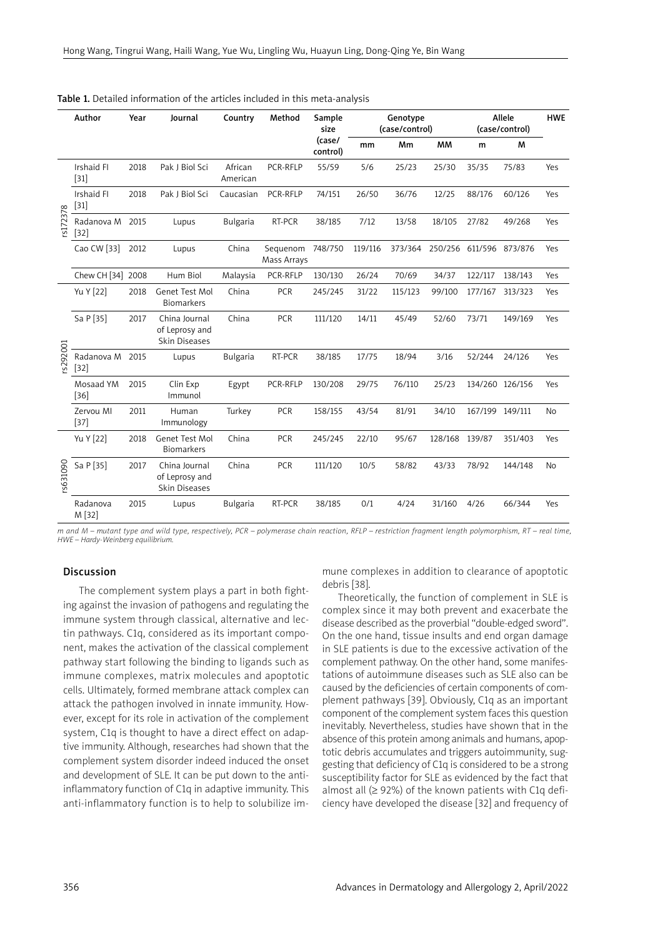|          | Author<br>Year<br>Journal |      | Country                                          | Method              | Sample<br>size                    |                    | Genotype<br>(case/control) |         | Allele<br>(case/control) |                 | <b>HWE</b>             |           |
|----------|---------------------------|------|--------------------------------------------------|---------------------|-----------------------------------|--------------------|----------------------------|---------|--------------------------|-----------------|------------------------|-----------|
|          |                           |      |                                                  |                     |                                   | (case/<br>control) | mm                         | Mm      | <b>MM</b>                | m               | M                      |           |
| rs172378 | Irshaid FI<br>$[31]$      | 2018 | Pak J Biol Sci                                   | African<br>American | PCR-RFLP                          | 55/59              | 5/6                        | 25/23   | 25/30                    | 35/35           | 75/83                  | Yes       |
|          | Irshaid Fl<br>$[31]$      | 2018 | Pak J Biol Sci                                   | Caucasian           | PCR-RFLP                          | 74/151             | 26/50                      | 36/76   | 12/25                    | 88/176          | 60/126                 | Yes       |
|          | Radanova M<br>$[32]$      | 2015 | Lupus                                            | <b>Bulgaria</b>     | RT-PCR<br>7/12<br>13/58<br>38/185 |                    |                            | 18/105  | 27/82                    | 49/268          | Yes                    |           |
|          | Cao CW [33]               | 2012 | Lupus                                            | China               | Sequenom<br>Mass Arrays           | 748/750            | 119/116                    | 373/364 | 250/256                  |                 | 611/596 873/876<br>Yes |           |
|          | Chew CH [34] 2008         |      | Hum Biol                                         | Malaysia            | PCR-RFLP                          | 130/130            | 26/24                      | 70/69   | 34/37                    | 122/117         | 138/143                | Yes       |
| s292001  | Yu Y [22]                 | 2018 | Genet Test Mol<br><b>Biomarkers</b>              | China               | <b>PCR</b>                        | 245/245            | 31/22                      | 115/123 | 99/100                   | 177/167         | 313/323                | Yes       |
|          | Sa P [35]                 | 2017 | China Journal<br>of Leprosy and<br>Skin Diseases | China               | PCR                               | 111/120            | 14/11                      | 45/49   | 52/60                    | 73/71           | 149/169                | Yes       |
|          | Radanova M<br>$[32]$      | 2015 | Lupus                                            | <b>Bulgaria</b>     | RT-PCR                            | 38/185             | 17/75                      | 18/94   | 3/16                     | 52/244          | 24/126<br>Yes          |           |
|          | Mosaad YM<br>$[36]$       | 2015 | Clin Exp<br>Immunol                              | Egypt               | PCR-RFLP                          | 130/208            | 29/75                      | 76/110  | 25/23                    | 134/260 126/156 |                        | Yes       |
|          | Zervou MI<br>$[37]$       | 2011 | Human<br>Immunology                              | Turkey              | PCR                               | 158/155            | 43/54                      | 81/91   | 34/10                    | 167/199 149/111 |                        | <b>No</b> |
| s631090  | Yu Y [22]                 | 2018 | Genet Test Mol<br><b>Biomarkers</b>              | China               | PCR                               | 245/245            | 22/10                      | 95/67   | 128/168                  | 139/87          | 351/403                | Yes       |
|          | Sa P [35]                 | 2017 | China Journal<br>of Leprosy and<br>Skin Diseases | China               | PCR                               | 111/120            | 10/5                       | 58/82   | 43/33                    | 78/92           | 144/148                | No        |
|          | Radanova<br>M [32]        | 2015 | Lupus                                            | <b>Bulgaria</b>     | RT-PCR                            | 38/185             | 0/1                        | 4/24    | 31/160                   | 4/26            | 66/344                 | Yes       |

#### Table 1. Detailed information of the articles included in this meta-analysis

*m and M – mutant type and wild type, respectively, PCR – polymerase chain reaction, RFLP – restriction fragment length polymorphism, RT – real time, HWE – Hardy-Weinberg equilibrium.*

#### Discussion

The complement system plays a part in both fighting against the invasion of pathogens and regulating the immune system through classical, alternative and lectin pathways. C1q, considered as its important component, makes the activation of the classical complement pathway start following the binding to ligands such as immune complexes, matrix molecules and apoptotic cells. Ultimately, formed membrane attack complex can attack the pathogen involved in innate immunity. However, except for its role in activation of the complement system, C1q is thought to have a direct effect on adaptive immunity. Although, researches had shown that the complement system disorder indeed induced the onset and development of SLE. It can be put down to the antiinflammatory function of C1q in adaptive immunity. This anti-inflammatory function is to help to solubilize immune complexes in addition to clearance of apoptotic debris [38].

Theoretically, the function of complement in SLE is complex since it may both prevent and exacerbate the disease described as the proverbial "double-edged sword". On the one hand, tissue insults and end organ damage in SLE patients is due to the excessive activation of the complement pathway. On the other hand, some manifestations of autoimmune diseases such as SLE also can be caused by the deficiencies of certain components of complement pathways [39]. Obviously, C1q as an important component of the complement system faces this question inevitably. Nevertheless, studies have shown that in the absence of this protein among animals and humans, apoptotic debris accumulates and triggers autoimmunity, suggesting that deficiency of C1q is considered to be a strong susceptibility factor for SLE as evidenced by the fact that almost all  $(≥ 92%)$  of the known patients with C1q deficiency have developed the disease [32] and frequency of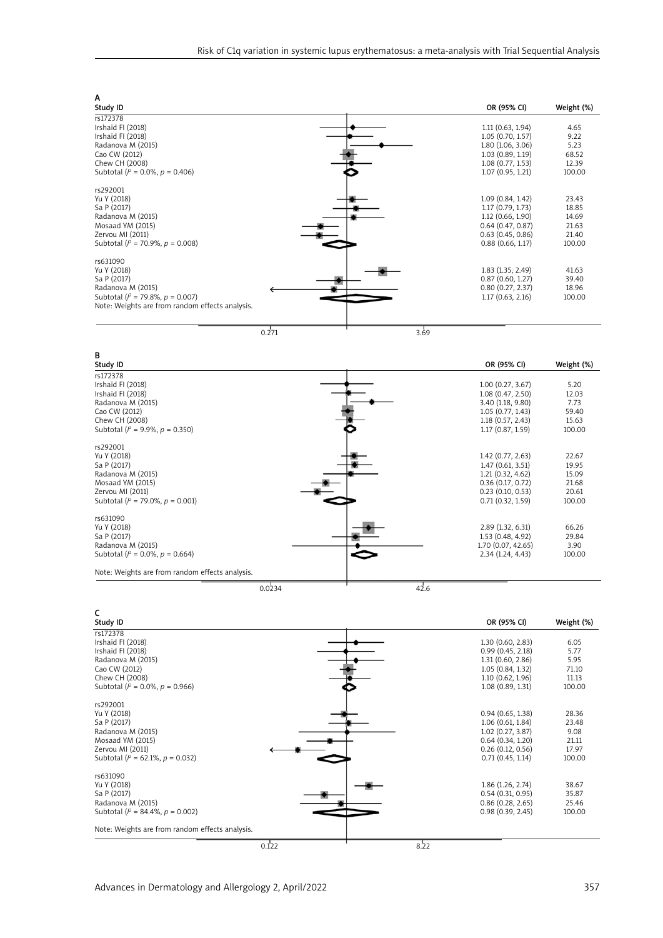| A                                                                                                                                                         |                                                                                                                       |                                                     |
|-----------------------------------------------------------------------------------------------------------------------------------------------------------|-----------------------------------------------------------------------------------------------------------------------|-----------------------------------------------------|
| Study ID                                                                                                                                                  | OR (95% CI)                                                                                                           | Weight (%)                                          |
| rs172378<br>Irshaid FI (2018)<br>Irshaid FI (2018)<br>Radanova M (2015)<br>Cao CW (2012)<br>Chew CH (2008)<br>Subtotal ( $l^2$ = 0.0%, $p$ = 0.406)       | 1.11(0.63, 1.94)<br>1.05(0.70, 1.57)<br>1.80 (1.06, 3.06)<br>1.03(0.89, 1.19)<br>1.08(0.77, 1.53)<br>1.07(0.95, 1.21) | 4.65<br>9.22<br>5.23<br>68.52<br>12.39<br>100.00    |
| rs292001<br>Yu Y (2018)<br>Sa P (2017)<br>Radanova M (2015)<br>Mosaad YM (2015)<br>Zervou MI (2011)<br>Subtotal ( $l^2$ = 70.9%, $p$ = 0.008)             | 1.09(0.84, 1.42)<br>1.17(0.79, 1.73)<br>1.12(0.66, 1.90)<br>0.64(0.47, 0.87)<br>0.63(0.45, 0.86)<br>0.88(0.66, 1.17)  | 23.43<br>18.85<br>14.69<br>21.63<br>21.40<br>100.00 |
| rs631090<br>Yu Y (2018)<br>Sa P (2017)<br>Radanova M (2015)<br>Subtotal ( $l^2$ = 79.8%, $p = 0.007$ )<br>Note: Weights are from random effects analysis. | 1.83 (1.35, 2.49)<br>0.87(0.60, 1.27)<br>0.80(0.27, 2.37)<br>1.17(0.63, 2.16)                                         | 41.63<br>39.40<br>18.96<br>100.00                   |
| 0.271                                                                                                                                                     | 3.69                                                                                                                  |                                                     |



| C                                               |       |                       |            |
|-------------------------------------------------|-------|-----------------------|------------|
| Study ID                                        |       | OR (95% CI)           | Weight (%) |
| rs172378                                        |       |                       |            |
| Irshaid FI (2018)                               |       | 1.30(0.60, 2.83)      | 6.05       |
| Irshaid FI (2018)                               |       | 0.99(0.45, 2.18)      | 5.77       |
| Radanova M (2015)                               |       | 1.31(0.60, 2.86)      | 5.95       |
| Cao CW (2012)                                   |       | 1.05 (0.84, 1.32)     | 71.10      |
| Chew CH (2008)                                  |       | 1.10 (0.62, 1.96)     | 11.13      |
| Subtotal ( $l^2$ = 0.0%, $p$ = 0.966)           |       | 1.08 (0.89, 1.31)     | 100.00     |
| rs292001                                        |       |                       |            |
| Yu Y (2018)                                     |       | 0.94(0.65, 1.38)      | 28.36      |
| Sa P (2017)                                     |       | 1.06(0.61, 1.84)      | 23.48      |
| Radanova M (2015)                               |       | 1.02(0.27, 3.87)      | 9.08       |
| Mosaad YM (2015)                                |       | 0.64(0.34, 1.20)      | 21.11      |
| Zervou MI (2011)                                |       | $0.26$ $(0.12, 0.56)$ | 17.97      |
| Subtotal ( $l^2$ = 62.1%, $p$ = 0.032)          |       | 0.71(0.45, 1.14)      | 100.00     |
| rs631090                                        |       |                       |            |
| Yu Y (2018)                                     |       | 1.86 (1.26, 2.74)     | 38.67      |
| Sa P (2017)                                     |       | 0.54(0.31, 0.95)      | 35.87      |
| Radanova M (2015)                               |       | 0.86(0.28, 2.65)      | 25.46      |
| Subtotal ( $l^2$ = 84.4%, $p$ = 0.002)          |       | 0.98(0.39, 2.45)      | 100.00     |
| Note: Weights are from random effects analysis. |       |                       |            |
|                                                 | 0.122 | 8.22                  |            |

Advances in Dermatology and Allergology 2, April/2022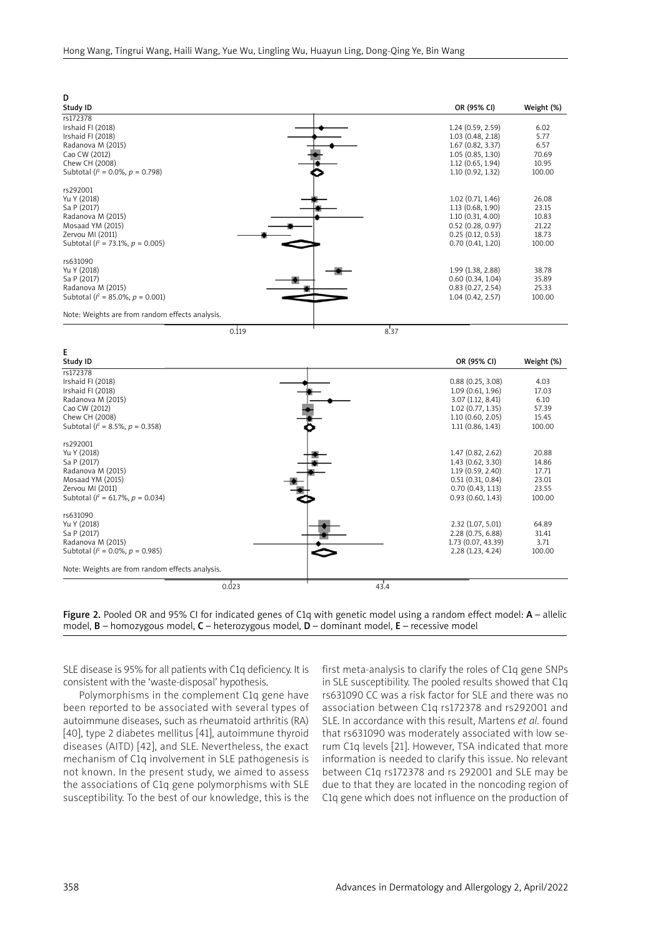| D                                                                                                                                                        |      |                                                                                                                          |                                                     |
|----------------------------------------------------------------------------------------------------------------------------------------------------------|------|--------------------------------------------------------------------------------------------------------------------------|-----------------------------------------------------|
| Study ID                                                                                                                                                 |      | OR (95% CI)                                                                                                              | Weight (%)                                          |
| rs172378<br>Irshaid FI (2018)<br>Irshaid FI (2018)<br>Radanova M (2015)<br>Cao CW (2012)<br>Chew CH (2008)<br>Subtotal ( $l^2$ = 0.0%, $p$ = 0.798)      |      | 1.24 (0.59, 2.59)<br>1.03(0.48, 2.18)<br>1.67(0.82, 3.37)<br>1.05(0.85, 1.30)<br>1.12 (0.65, 1.94)<br>1.10(0.92, 1.32)   | 6.02<br>5.77<br>6.57<br>70.69<br>10.95<br>100.00    |
| rs292001<br>Yu Y (2018)<br>Sa P (2017)<br>Radanova M (2015)<br>Mosaad YM (2015)<br>Zervou MI (2011)<br>Subtotal ( $l^2$ = 73.1%, $p$ = 0.005)            |      | $1.02$ (0.71, 1.46)<br>1.13 (0.68, 1.90)<br>1.10(0.31, 4.00)<br>0.52(0.28, 0.97)<br>0.25(0.12, 0.53)<br>0.70(0.41, 1.20) | 26.08<br>23.15<br>10.83<br>21.22<br>18.73<br>100.00 |
| rs631090<br>Yu Y (2018)<br>Sa P (2017)<br>Radanova M (2015)<br>Subtotal ( $l^2$ = 85.0%, $p$ = 0.001)<br>Note: Weights are from random effects analysis. |      | 1.99 (1.38, 2.88)<br>0.60(0.34, 1.04)<br>0.83(0.27, 2.54)<br>1.04(0.42, 2.57)                                            | 38.78<br>35.89<br>25.33<br>100.00                   |
|                                                                                                                                                          |      |                                                                                                                          |                                                     |
| 0.119                                                                                                                                                    | 8.37 |                                                                                                                          |                                                     |



Figure 2. Pooled OR and 95% CI for indicated genes of C1q with genetic model using a random effect model: A - allelic model,  $B$  – homozygous model,  $C$  – heterozygous model,  $D$  – dominant model,  $E$  – recessive model

SLE disease is 95% for all patients with C1q deficiency. It is consistent with the 'waste-disposal' hypothesis.

Polymorphisms in the complement C1q gene have been reported to be associated with several types of autoimmune diseases, such as rheumatoid arthritis (RA) [40], type 2 diabetes mellitus [41], autoimmune thyroid diseases (AITD) [42], and SLE. Nevertheless, the exact mechanism of C1q involvement in SLE pathogenesis is not known. In the present study, we aimed to assess the associations of C1q gene polymorphisms with SLE susceptibility. To the best of our knowledge, this is the

first meta-analysis to clarify the roles of C1q gene SNPs in SLE susceptibility. The pooled results showed that C1q rs631090 CC was a risk factor for SLE and there was no association between C1q rs172378 and rs292001 and SLE. In accordance with this result, Martens *et al.* found that rs631090 was moderately associated with low serum C1q levels [21]. However, TSA indicated that more information is needed to clarify this issue. No relevant between C1q rs172378 and rs 292001 and SLE may be due to that they are located in the noncoding region of C1q gene which does not influence on the production of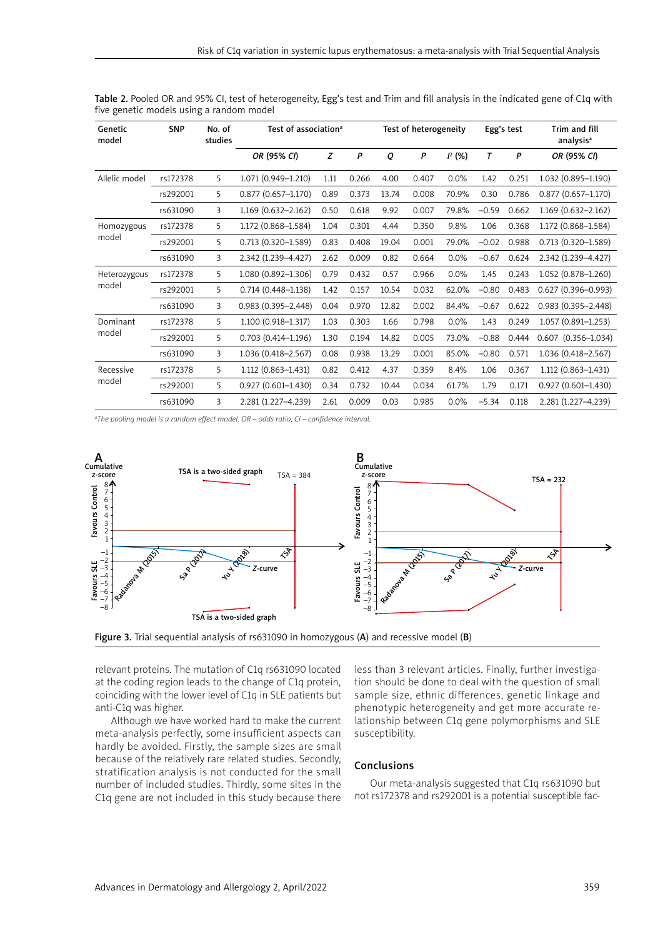| Genetic<br>model | <b>SNP</b> | No. of<br>studies | Test of association <sup>a</sup> |      |       | Test of heterogeneity |       |       | Egg's test |                | Trim and fill<br>analysis <sup>a</sup> |
|------------------|------------|-------------------|----------------------------------|------|-------|-----------------------|-------|-------|------------|----------------|----------------------------------------|
|                  |            |                   | OR (95% CI)                      | Z    | P     | Q                     | P     | P(% ) | T          | $\overline{P}$ | OR (95% CI)                            |
| Allelic model    | rs172378   | 5                 | 1.071 (0.949-1.210)              | 1.11 | 0.266 | 4.00                  | 0.407 | 0.0%  | 1.42       | 0.251          | 1.032 (0.895-1.190)                    |
|                  | rs292001   | 5                 | $0.877$ $(0.657 - 1.170)$        | 0.89 | 0.373 | 13.74                 | 0.008 | 70.9% | 0.30       | 0.786          | $0.877(0.657 - 1.170)$                 |
|                  | rs631090   | 3                 | 1.169 (0.632-2.162)              | 0.50 | 0.618 | 9.92                  | 0.007 | 79.8% | $-0.59$    | 0.662          | $1.169(0.632 - 2.162)$                 |
| Homozygous       | rs172378   | 5                 | 1.172 (0.868-1.584)              | 1.04 | 0.301 | 4.44                  | 0.350 | 9.8%  | 1.06       | 0.368          | 1.172 (0.868-1.584)                    |
| model            | rs292001   | 5                 | $0.713(0.320 - 1.589)$           | 0.83 | 0.408 | 19.04                 | 0.001 | 79.0% | $-0.02$    | 0.988          | $0.713(0.320 - 1.589)$                 |
|                  | rs631090   | 3                 | 2.342 (1.239-4.427)              | 2.62 | 0.009 | 0.82                  | 0.664 | 0.0%  | $-0.67$    | 0.624          | 2.342 (1.239-4.427)                    |
| Heterozygous     | rs172378   | 5                 | 1.080 (0.892-1.306)              | 0.79 | 0.432 | 0.57                  | 0.966 | 0.0%  | 1.45       | 0.243          | 1.052 (0.878-1.260)                    |
| model            | rs292001   | 5                 | $0.714(0.448 - 1.138)$           | 1.42 | 0.157 | 10.54                 | 0.032 | 62.0% | $-0.80$    | 0.483          | $0.627(0.396 - 0.993)$                 |
|                  | rs631090   | 3                 | $0.983(0.395 - 2.448)$           | 0.04 | 0.970 | 12.82                 | 0.002 | 84.4% | $-0.67$    | 0.622          | $0.983(0.395 - 2.448)$                 |
| Dominant         | rs172378   | 5                 | 1.100 (0.918-1.317)              | 1.03 | 0.303 | 1.66                  | 0.798 | 0.0%  | 1.43       | 0.249          | $1.057(0.891 - 1.253)$                 |
| model            | rs292001   | 5                 | $0.703(0.414 - 1.196)$           | 1.30 | 0.194 | 14.82                 | 0.005 | 73.0% | $-0.88$    | 0.444          | $0.607$ $(0.356 - 1.034)$              |
|                  | rs631090   | 3                 | 1.036 (0.418-2.567)              | 0.08 | 0.938 | 13.29                 | 0.001 | 85.0% | $-0.80$    | 0.571          | 1.036 (0.418-2.567)                    |
| Recessive        | rs172378   | 5                 | 1.112 (0.863-1.431)              | 0.82 | 0.412 | 4.37                  | 0.359 | 8.4%  | 1.06       | 0.367          | 1.112 (0.863-1.431)                    |
| model            | rs292001   | 5                 | $0.927(0.601 - 1.430)$           | 0.34 | 0.732 | 10.44                 | 0.034 | 61.7% | 1.79       | 0.171          | $0.927(0.601 - 1.430)$                 |
|                  | rs631090   | 3                 | 2.281 (1.227-4.239)              | 2.61 | 0.009 | 0.03                  | 0.985 | 0.0%  | $-5.34$    | 0.118          | 2.281 (1.227-4.239)                    |

Table 2. Pooled OR and 95% CI, test of heterogeneity, Egg's test and Trim and fill analysis in the indicated gene of C1q with five genetic models using a random model

*a The pooling model is a random effect model. OR – odds ratio, CI – confidence interval.*





relevant proteins. The mutation of C1q rs631090 located at the coding region leads to the change of C1q protein, coinciding with the lower level of C1q in SLE patients but anti-C1q was higher.

Although we have worked hard to make the current meta-analysis perfectly, some insufficient aspects can hardly be avoided. Firstly, the sample sizes are small because of the relatively rare related studies. Secondly, stratification analysis is not conducted for the small number of included studies. Thirdly, some sites in the C1q gene are not included in this study because there

less than 3 relevant articles. Finally, further investigation should be done to deal with the question of small sample size, ethnic differences, genetic linkage and phenotypic heterogeneity and get more accurate relationship between C1q gene polymorphisms and SLE susceptibility.

## Conclusions

Our meta-analysis suggested that C1q rs631090 but not rs172378 and rs292001 is a potential susceptible fac-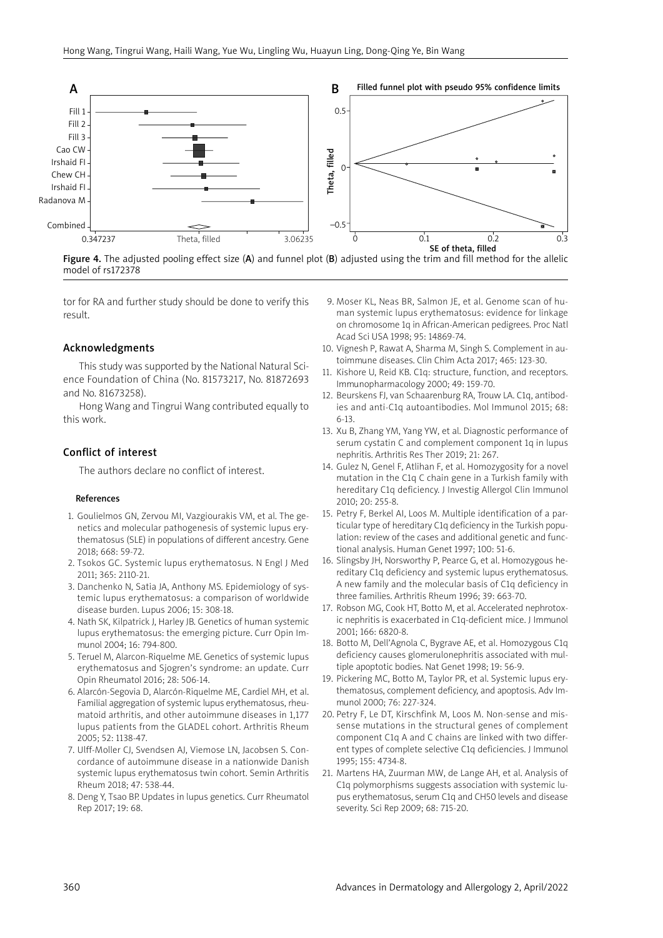

Figure 4. The adjusted pooling effect size  $(A)$  and funnel plot  $(B)$  adjusted using the trim and fill method for the allelic model of rs172378

tor for RA and further study should be done to verify this result.

## Acknowledgments

This study was supported by the National Natural Science Foundation of China (No. 81573217, No. 81872693 and No. 81673258).

Hong Wang and Tingrui Wang contributed equally to this work.

## Conflict of interest

The authors declare no conflict of interest.

#### References

- 1. Goulielmos GN, Zervou MI, Vazgiourakis VM, et al. The genetics and molecular pathogenesis of systemic lupus erythematosus (SLE) in populations of different ancestry. Gene 2018; 668: 59-72.
- 2. Tsokos GC. Systemic lupus erythematosus. N Engl J Med 2011; 365: 2110-21.
- 3. Danchenko N, Satia JA, Anthony MS. Epidemiology of systemic lupus erythematosus: a comparison of worldwide disease burden. Lupus 2006; 15: 308-18.
- 4. Nath SK, Kilpatrick J, Harley JB. Genetics of human systemic lupus erythematosus: the emerging picture. Curr Opin Immunol 2004; 16: 794-800.
- 5. Teruel M, Alarcon-Riquelme ME. Genetics of systemic lupus erythematosus and Sjogren's syndrome: an update. Curr Opin Rheumatol 2016; 28: 506-14.
- 6. Alarcón-Segovia D, Alarcón-Riquelme ME, Cardiel MH, et al. Familial aggregation of systemic lupus erythematosus, rheumatoid arthritis, and other autoimmune diseases in 1,177 lupus patients from the GLADEL cohort. Arthritis Rheum 2005; 52: 1138-47.
- 7. Ulff-Moller CJ, Svendsen AJ, Viemose LN, Jacobsen S. Concordance of autoimmune disease in a nationwide Danish systemic lupus erythematosus twin cohort. Semin Arthritis Rheum 2018; 47: 538-44.
- 8. Deng Y, Tsao BP. Updates in lupus genetics. Curr Rheumatol Rep 2017; 19: 68.
- 9. Moser KL, Neas BR, Salmon JE, et al. Genome scan of human systemic lupus erythematosus: evidence for linkage on chromosome 1q in African-American pedigrees. Proc Natl Acad Sci USA 1998; 95: 14869-74.
- 10. Vignesh P, Rawat A, Sharma M, Singh S. Complement in autoimmune diseases. Clin Chim Acta 2017; 465: 123-30.
- 11. Kishore U, Reid KB. C1q: structure, function, and receptors. Immunopharmacology 2000; 49: 159-70.
- 12. Beurskens FJ, van Schaarenburg RA, Trouw LA. C1q, antibodies and anti-C1q autoantibodies. Mol Immunol 2015; 68: 6-13.
- 13. Xu B, Zhang YM, Yang YW, et al. Diagnostic performance of serum cystatin C and complement component 1q in lupus nephritis. Arthritis Res Ther 2019; 21: 267.
- 14. Gulez N, Genel F, Atlihan F, et al. Homozygosity for a novel mutation in the C1q C chain gene in a Turkish family with hereditary C1q deficiency. J Investig Allergol Clin Immunol 2010; 20: 255-8.
- 15. Petry F, Berkel AI, Loos M. Multiple identification of a particular type of hereditary C1q deficiency in the Turkish population: review of the cases and additional genetic and functional analysis. Human Genet 1997; 100: 51-6.
- 16. Slingsby JH, Norsworthy P, Pearce G, et al. Homozygous hereditary C1q deficiency and systemic lupus erythematosus. A new family and the molecular basis of C1q deficiency in three families. Arthritis Rheum 1996; 39: 663-70.
- 17. Robson MG, Cook HT, Botto M, et al. Accelerated nephrotoxic nephritis is exacerbated in C1q-deficient mice. J Immunol 2001; 166: 6820-8.
- 18. Botto M, Dell'Agnola C, Bygrave AE, et al. Homozygous C1q deficiency causes glomerulonephritis associated with multiple apoptotic bodies. Nat Genet 1998; 19: 56-9.
- 19. Pickering MC, Botto M, Taylor PR, et al. Systemic lupus erythematosus, complement deficiency, and apoptosis. Adv Immunol 2000; 76: 227-324.
- 20. Petry F, Le DT, Kirschfink M, Loos M. Non-sense and missense mutations in the structural genes of complement component C1q A and C chains are linked with two different types of complete selective C1q deficiencies. J Immunol 1995; 155: 4734-8.
- 21. Martens HA, Zuurman MW, de Lange AH, et al. Analysis of C1q polymorphisms suggests association with systemic lupus erythematosus, serum C1q and CH50 levels and disease severity. Sci Rep 2009; 68: 715-20.